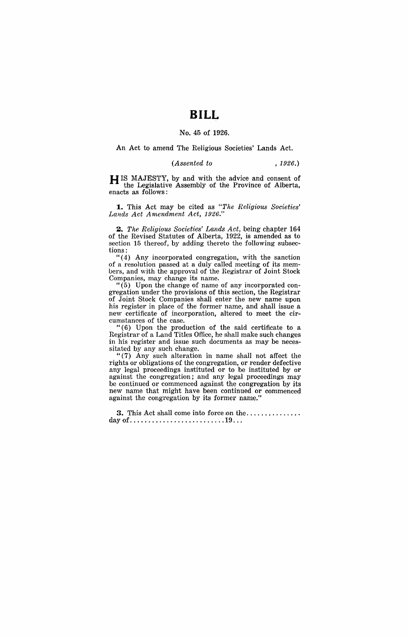## **BILL**

## No. 45 of 1926.

An Act to amend The Religious Societies' Lands Act.

*(Assented to* , 1926.)

H IS MAJESTY, by and with the advice and consent of the Legislative Assembly of the Province of Alberta, enacts as follows:

1. This Act may be cited as "The Religious Societies' *Lands Act Amendment Act, 1926."* 

2. *The Religious Societies' Lands Act*, being chapter 164 of the Revised Statutes of Alberta, 1922, is amended as to section 15 thereof, by adding thereto the following subsections:

"(4) Any incorporated congregation, with the sanction of a resolution passed at a duly called meeting of its members, and with the approval of the Registrar of Joint Stock Companies, may change its name.

"(5) Upon the change of name of any incorporated congregation under the provisions of this section, the Registrar of Joint Stock Companies shall enter the new name upon his register in place of the former name, and shall issue a new certificate of incorporation, altered to meet the circumstances of the case.

"(6) Upon the production of the said certificate to a Registrar of a Land Titles Office, he shall make such changes in his register and issue such documents as may be necessitated by any such change.

"(7) Any such alteration in name shall not affect the rights or obligations of the congregation, or render defective any legal proceedings instituted or to be instituted by or against the congregation; and any legal proceedings may be continued or commenced against the congregation by its new name that might have been continued or commenced against the congregation by its former name."

3. This Act shall come into force ion the .............. . day of .......................... 19 .. .